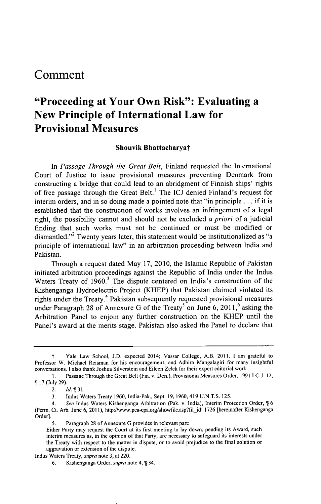## **Comment**

# **"Proceeding at Your Own Risk": Evaluating a New Principle of International Law for Provisional Measures**

#### **Shouvik Bhattacharyat**

*In Passage Through the Great Belt,* Finland requested the International Court of Justice to issue provisional measures preventing Denmark from constructing a bridge that could lead to an abridgment of Finnish ships' rights of free passage through the Great Belt.' The **ICJ** denied Finland's request for interim orders, and in so doing made a pointed note that "in principle **...** if it is established that the construction of works involves an infringement of a legal right, the possibility cannot and should not be excluded *a priori* of a judicial finding that such works must not be continued or must be modified or dismantled."<sup>2</sup> Twenty years later, this statement would be institutionalized as "a principle of international law" in an arbitration proceeding between India and Pakistan.

Through a request dated May **17,** 2010, the Islamic Republic of Pakistan initiated arbitration proceedings against the Republic of India under the Indus Waters Treaty of 1960.<sup>3</sup> The dispute centered on India's construction of the Kishenganga Hydroelectric Project (KHEP) that Pakistan claimed violated its rights under the Treaty.<sup>4</sup> Pakistan subsequently requested provisional measures under Paragraph 28 of Annexure G of the Treaty<sup>5</sup> on June 6, 2011,<sup>6</sup> asking the Arbitration Panel to enjoin any further construction on the KHEP until the Panel's award at the merits stage. Pakistan also asked the Panel to declare that

t Yale Law School, **J.D.** expected 2014; Vassar College, A.B. **2011.** I am grateful to Professor W. Michael Reisman for his encouragement, and Adhira Mangalagiri for many insightful conversations. **I** also thank Joshua Silverstein and Eileen Zelek for their expert editorial work.

**<sup>1.</sup>** Passage Through the Great Belt (Fin. v. Den.), Provisional Measures Order, **1991 I.C.J.** 12, **17** (July **29).**

<sup>2.</sup> *Id.* 131.

**<sup>3.</sup>** Indus Waters Treaty **1960,** India-Pak., Sept. **19, 1960,** 419 **U.N.T.S. 125.**

<sup>4.</sup> *See* Indus Waters Kishenganga Arbitration (Pak. v. India), Interim Protection Order, **\$ 6** (Perm. Ct. Arb. June **6, 2011),** http://www.pca-cpa.org/showfile.asp?fil id=1 **726** [hereinafter Kishenganga Order].

**<sup>5.</sup>** Paragraph **28** of Annexure **G** provides in relevant part:

Either Party may request the Court at its first meeting to lay down, pending its Award, such interim measures as, in the opinion of that Party, are necessary to safeguard its interests under the Treaty with respect to the matter in dispute, or to avoid prejudice to the final solution or aggravation or extension of the dispute.

Indus Waters Treaty, *supra* note **3,** at 220.

**<sup>6.</sup>** Kishenganga Order, *supra* note 4, **\$** 34.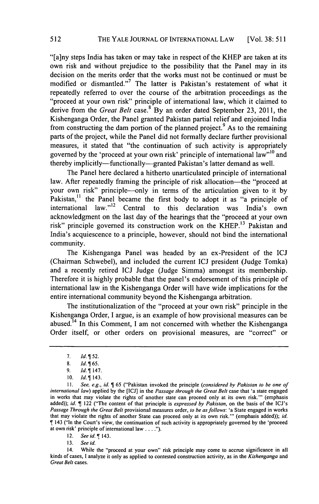"[a]ny steps India has taken or may take in respect of the KHEP are taken at its own risk and without prejudice to the possibility that the Panel may in its decision on the merits order that the works must not be continued or must be modified or dismantled."<sup>7</sup> The latter is Pakistan's restatement of what it repeatedly referred to over the course of the arbitration proceedings as the "proceed at your own risk" principle of international law, which it claimed to derive from the *Great Belt* case.<sup>8</sup> By an order dated September 23, 2011, the Kishenganga Order, the Panel granted Pakistan partial relief and enjoined India from constructing the dam portion of the planned project.<sup>9</sup> As to the remaining parts of the project, while the Panel did not formally declare further provisional measures, it stated that "the continuation of such activity is appropriately governed by the 'proceed at your own risk' principle of international law"<sup>10</sup> and thereby implicitly-functionally-granted Pakistan's latter demand as well.

The Panel here declared a hitherto unarticulated principle of international law. After repeatedly framing the principle of risk allocation-the "proceed at your own risk" principle-only in terms of the articulation given to it **by** Pakistan,<sup>11</sup> the Panel became the first body to adopt it as "a principle of international law."<sup>12</sup> Central to this declaration was India's own acknowledgment on the last day of the hearings that the "proceed at your own risk" principle governed its construction work on the KHEP.<sup>13</sup> Pakistan and India's acquiescence to a principle, however, should not bind the international community.

The Kishenganga Panel was headed **by** an ex-President of the **ICJ** (Chairman Schwebel), and included the current **ICJ** president (Judge Tomka) and a recently retired **ICJ** Judge (Judge Simma) amongst its membership. Therefore it is **highly** probable that the panel's endorsement of this principle of international law in the Kishenganga Order will have wide implications for the entire international community beyond the Kishenganga arbitration.

The institutionalization of the "proceed at your own risk" principle in the Kishenganga Order, **I** argue, is an example of how provisional measures can be abused.14 In this Comment, **I** am not concerned with whether the Kishenganga Order itself, or other orders on provisional measures, are "correct" or

12. *See id.* T 143.

**13.** *See id.*

**<sup>7.</sup>** *Id.152.*

**<sup>8.</sup>** *Id. 65.*

**<sup>9.</sup>** *Id. 147.*

**<sup>10.</sup>** *Id. 143.*

*<sup>11.</sup> See, e.g.,* **id.** *165* ("Pakistan invoked the principle *(considered by Pakistan to be one of international law)* applied **by** the **[ICJ]** in the *Passage through the Great Belt* case that 'a state engaged in works that may violate the rights of another state can proceed only at its own risk."' (emphasis added)); *id. T* 122 ("The content of that principle is *expressed by Pakistan,* on the basis of the ICJ's *Passage Through the Great Belt* provisional measures order, *to be as follows:* 'a State engaged in works that may violate the rights of another State can proceed only at its own risk."' (emphasis added)); *id.* T 143 ("In the Court's view, the continuation of such activity is appropriately governed **by** the 'proceed at own risk' principle of international law **. . .**

<sup>14.</sup> While the "proceed at your own" risk principle may come to accrue significance in all kinds of cases, **I** analyze it only as applied to contested construction activity, as in the *Kishenganga and Great Belt* cases.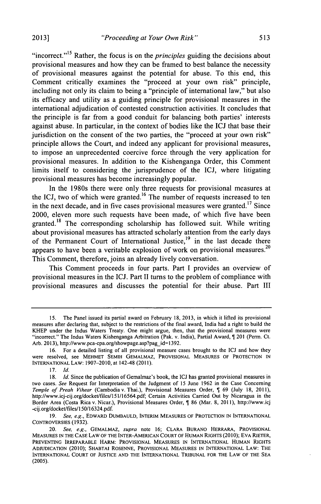"incorrect."<sup>15</sup> Rather, the focus is on the *principles* guiding the decisions about provisional measures and how they can be framed to best balance the necessity of provisional measures against the potential for abuse. To this end, this Comment critically examines the "proceed at your own risk" principle, including not only its claim to being a "principle of international law," but also its efficacy and utility as a guiding principle for provisional measures in the international adjudication of contested construction activities. It concludes that the principle is far from a good conduit for balancing both parties' interests against abuse. In particular, in the context of bodies like the **ICJ** that base their jurisdiction on the consent of the two parties, the "proceed at your own risk" principle allows the Court, and indeed any applicant for provisional measures, to impose an unprecedented coercive force through the very application for provisional measures. In addition to the Kishenganga Order, this Comment limits itself to considering the jurisprudence of the **ICJ,** where litigating provisional measures has become increasingly popular.

In the 1980s there were only three requests for provisional measures at the ICJ, two of which were granted.<sup>16</sup> The number of requests increased to ten in the next decade, and in five cases provisional measures were granted.<sup>17</sup> Since 2000, eleven more such requests have been made, of which five have been granted.<sup>18</sup> The corresponding scholarship has followed suit. While writing about provisional measures has attracted scholarly attention from the early days of the Permanent Court of International Justice,<sup>19</sup> in the last decade there appears to have been a veritable explosion of work on provisional measures.<sup>20</sup> This Comment, therefore, joins an already lively conversation.

This Comment proceeds in four parts. Part **I** provides an overview of provisional measures in the **ICJ.** Part II turns to the problem of compliance with provisional measures and discusses the potential for their abuse. Part **III**

*<sup>15.</sup>* The Panel issued its partial award on February **18, 2013,** in which it lifted its provisional measures after declaring that, subject to the restrictions of the final award, India had a right to build the KHEP under the Indus Waters Treaty. One might argue, then, that the provisional measures were "incorrect." The Indus Waters Kishenganga Arbitration (Pak. v. India), Partial Award, ¶ 201 (Perm. Ct. Arb. 2013), http://www.pca-cpa.org/showpage.asp?pag id=1392.

**<sup>16.</sup>** For a detailed listing of all provisional measure cases brought to the **ICJ** and how they were resolved, see MEHMET **SEMIH** GEMALMAZ, PROVISIONAL **MEASURES** OF PROTECTION **IN INTERNATIONAL** LAW: **1907-2010,** at 142-48 **(2011).**

**<sup>17.</sup>** *Id.*

**<sup>18.</sup>** *Id.* Since the publication of Gemalmaz's book, the **ICJ** has granted provisional measures in two cases. *See* Request for Interpretation of the Judgment of **15** June **1962** in the Case Concerning *Temple of Preah Vihear* (Cambodia v. Thai.), Provisional Measures Order, *I* 69 (July 18, 2011), http://www.icj-cij.org/docket/files/151/16564.pdf; Certain Activities Carried Out **by** Nicaragua in the Border Area (Costa Rica v. Nicar.), Provisional Measures Order, **\$ 86** (Mar. **8, 2011),** http://www.icj -cij.org/docket/files/150/16324.pdf.

*<sup>19.</sup> See, e.g.,* EDWARD **DUMBAULD,** INTERIM **MEASURES** OF PROTECTION **IN INTERNATIONAL** CONTROVERSIES **(1932).**

*<sup>20.</sup> See, e.g., GEMALMAZ, supra* note **16;** CLARA BURANO HERRARA, PROVISIONAL **MEASURES IN** THE **CASE** LAW OF THE INTER-AMERICAN **COURT** OF HUMAN RIGHTS **(2010); EVA** RIETER, **PREVENTING** IRREPARABLE HARM: PROVISIONAL **MEASURES IN INTERNATIONAL HUMAN** RIGHTS **ADJUDICATION** (2010); SHABTAI **ROSENNE,** PROVISIONAL **MEASURES IN** INTERNATIONAL LAW: THE **INTERNATIONAL COURT** OF **JUSTICE AND** THE **INTERNATIONAL** TRIBUNAL FOR THE LAW OF THE **SEA (2005).**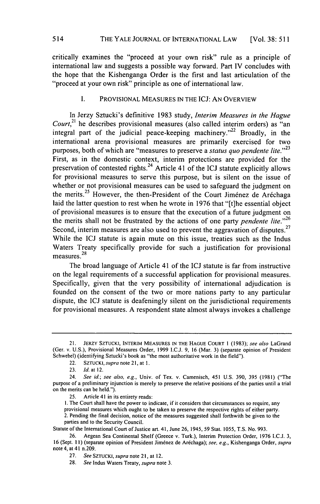critically examines the "proceed at your own risk" rule as a principle of international law and suggests a possible way forward. Part IV concludes with the hope that the Kishenganga Order is the first and last articulation of the "proceed at your own risk" principle as one of international law.

#### **I.** PROVISIONAL **MEASURES IN** THE **ICJ: AN** OVERVIEW

In Jerzy Sztucki's definitive **1983** study, *Interim Measures in the Hague Court*,<sup>21</sup> he describes provisional measures (also called interim orders) as "an integral part of the judicial peace-keeping machinery."<sup>22</sup> Broadly, in the international arena provisional measures are primarily exercised for two purposes, both of which are "measures to preserve a *status quo pendente lite."<sup>23</sup>* First, as in the domestic context, interim protections are provided for the preservation of contested rights. 24 Article 41 of the **ICJ** statute explicitly allows for provisional measures to serve this purpose, but is silent on the issue of whether or not provisional measures can be used to safeguard the judgment on the merits.<sup>25</sup> However, the then-President of the Court Jiménez de Aréchaga laid the latter question to rest when he wrote in **1976** that "[tihe essential object of provisional measures is to ensure that the execution of a future judgment on the merits shall not be frustrated **by** the actions of one party *pendente lite."26* Second, interim measures are also used to prevent the aggravation of disputes.<sup>27</sup> While the **ICJ** statute is again mute on this issue, treaties such as the Indus Waters Treaty specifically provide for such a justification for provisional **<sup>28</sup>** measures.<sup>28</sup>

The broad language of Article 41 of the **ICJ** statute is far from instructive on the legal requirements of a successful application for provisional measures. Specifically, given that the very possibility of international adjudication is founded on the consent of the two or more nations party to any particular dispute, the **ICJ** statute is deafeningly silent on the jurisdictional requirements for provisional measures. **A** respondent state almost always invokes a challenge

**1.** The Court shall have the power to indicate, if it considers that circumstances so require, any provisional measures which ought to be taken to preserve the respective rights of either party.

2. Pending the final decision, notice of the measures suggested shall forthwith be given to the parties and to the Security Council.

Statute of the International Court of Justice art. 41, June **26,** 1945, **59** Stat. **1055, T.S.** No. **993.**

**<sup>21.</sup>** JERZY **SZTUCKI,** INTERIM **MEASURES IN** THE **HAGUE COURT** 1 **(1983);** *see also* LaGrand (Ger. v. **U.S.),** Provisional Measures Order, **1999 I.C.J. 9, 16** (Mar. **3)** (separate opinion of President Schwebel) (identifying Sztucki's book as "the most authoritative work in the field").

<sup>22.</sup> *SZTUCKI, supra* note **21,** at **1.**

**<sup>23.</sup>** *Id.* at 12.

<sup>24.</sup> *See id.; see also, e.g.,* Univ. of Tex. v. Camenisch, 451 **U.S. 390, 395 (1981)** ("The purpose of a preliminary injunction is merely to preserve the relative positions of the parties until a trial on the merits can be held.").

**<sup>25.</sup>** Article 41 in its entirety reads:

**<sup>26.</sup>** Aegean Sea Continental Shelf (Greece v. Turk.), Interim Protection Order, **1976 I.C.J. 3, 16** (Sept. **I1)** (separate opinion of President Jimdnez de Arechaga); *see, e.g.,* Kishenganga Order, *supra* note 4, at 41 n.209.

**<sup>27.</sup>** *See SZTUCKI, supra* note **21,** at 12.

**<sup>28.</sup>** *See* Indus Waters Treaty, *supra* note **3.**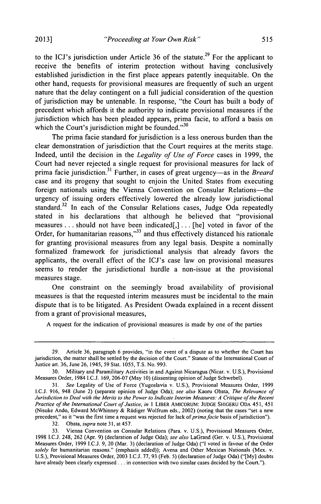to the ICJ's jurisdiction under Article 36 of the statute.<sup>29</sup> For the applicant to receive the benefits of interim protection without having conclusively established jurisdiction in the first place appears patently inequitable. On the other hand, requests for provisional measures are frequently of such an urgent nature that the delay contingent on a full judicial consideration of the question of jurisdiction may be untenable. In response, "the Court has built a body of precedent which affords it the authority to indicate provisional measures if the jurisdiction which has been pleaded appears, prima facie, to afford a basis on which the Court's jurisdiction might be founded. $^{30}$ 

The prima facie standard for jurisdiction is a less onerous burden than the clear demonstration of jurisdiction that the Court requires at the merits stage. Indeed, until the decision in the *Legality of Use of Force* cases in **1999,** the Court had never rejected a single request for provisional measures for lack of prima facie jurisdiction.<sup>31</sup> Further, in cases of great urgency-as in the *Breard* case and its progeny that sought to enjoin the United States from executing foreign nationals using the Vienna Convention on Consular Relations-the urgency of issuing orders effectively lowered the already low jurisdictional standard.<sup>32</sup> In each of the Consular Relations cases, Judge Oda repeatedly stated in his declarations that although he believed that "provisional measures **...** should not have been indicated[,] **. . .** [he] voted in favor of the Order, for humanitarian reasons,"<sup>33</sup> and thus effectively distanced his rationale for granting provisional measures from any legal basis. Despite a nominally formalized framework for jurisdictional analysis that already favors the applicants, the overall effect of the ICJ's case law on provisional measures seems to render the jurisdictional hurdle a non-issue at the provisional measures stage.

One constraint on the seemingly broad availability of provisional measures is that the requested interim measures must be incidental to the main dispute that is to be litigated. As President Owada explained in a recent dissent from a grant of provisional measures,

**A** request for the indication of provisional measures is made **by** one of the parties

**32.** Obata, *supra* note **31,** at 457.

**<sup>29.</sup>** Article **36,** paragraph **6** provides, "in the event of a dispute as to whether the Court has jurisdiction, the matter shall be settled **by** the decision of the Court." Statute of the International Court of Justice art. **36,** June **26,** 1945, **59** Stat. **1055, T.S.** No. **993.**

**<sup>30.</sup>** Military and Paramilitary Activities in and Against Nicaragua (Nicar. v. **U.S.),** Provisional Measures Order, 1984 I.C.J. **169, 206-07** (May **10)** (dissenting opinion of Judge Schwebel).

**<sup>31.</sup>** *See* Legality of Use of Force (Yugoslavia v. **U.S.),** Provisional Measures Order, **1999 I.C.J. 916,** 948 (June 2) (separate opinion of Judge Oda); *see also* Kaoru Obata, *The Relevance of Jurisdiction to Deal with the Merits to the Power to Indicate Interim Measures: A Critique of the Recent Practice of the International Court of Justice, in* **I LIBER AMICORUM: JUDGE SHIGERU ODA 451, 451** (Nisuke Ando, Edward McWhinney **&** Riudiger Wolfrum eds., 2002) (noting that the cases "set a new precedent," as it "was the first time a request was rejected for lack *of prima facie* basis ofjurisdiction").

**<sup>33.</sup>** Vienna Convention on Consular Relations (Para. **v. U.S.),** Provisional Measures Order, **1998 I.C.J.** 248, **262** (Apr. **9)** (declaration of Judge Oda); *see also* LaGrand (Ger. v. **U.S.),** Provisional Measures Order, **1999 I.C.J. 9,** 20 (Mar. **3)** (declaration of Judge Oda) **("I** voted in favour of the Order *solely* for humanitarian reasons." (emphasis added)); Avena and Other Mexican Nationals (Mex. v. **U.S.),** Provisional Measures Order, **2003 I.C.J. 77, 93** (Feb. **5)** (declaration of Judge Oda) **("[My]** doubts have already been clearly expressed **. ..** in connection with two similar cases decided **by** the Court.").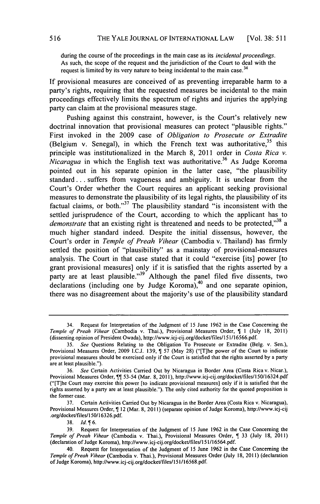during the course of the proceedings in the main case as its *incidental proceedings.* As such, the scope of the request and the jurisdiction of the Court to deal with the request is limited by its very nature to being incidental to the main case.<sup>34</sup>

**If** provisional measures are conceived of as preventing irreparable harm to a party's rights, requiring that the requested measures be incidental to the main proceedings effectively limits the spectrum of rights and injuries the applying party can claim at the provisional measures stage.

Pushing against this constraint, however, is the Court's relatively new doctrinal innovation that provisional measures can protect "plausible rights." First invoked in the **2009** case of *Obligation to Prosecute or Extradite* (Belgium v. Senegal), in which the French text was authoritative,  $3^5$  this principle was institutionalized in the March **8,** 2011 order in *Costa Rica v. Nicaragua* in which the English text was authoritative.<sup>36</sup> As Judge Koroma pointed out in his separate opinion in the latter case, "the plausibility standard **...** suffers from vagueness and ambiguity. It is unclear from the Court's Order whether the Court requires an applicant seeking provisional measures to demonstrate the plausibility of its legal rights, the plausibility of its factual claims, or both."<sup>37</sup> The plausibility standard "is inconsistent with the settled jurisprudence of the Court, according to which the applicant has to *demonstrate* that an existing right is threatened and needs to be protected,"<sup>38</sup> a much higher standard indeed. Despite the initial dissensus, however, the Court's order in *Temple of Preah Vihear* (Cambodia v. Thailand) has firmly settled the position of "plausibility" as a mainstay of provisional-measures analysis. The Court in that case stated that it could "exercise [its] power [to grant provisional measures] only if it is satisfied that the rights asserted **by** a party are at least plausible."<sup>39</sup> Although the panel filed five dissents, two declarations (including one **by** Judge Koroma),40 and one separate opinion, there was no disagreement about the majority's use of the plausibility standard

<sup>34.</sup> Request for Interpretation of the Judgment of **15** June **1962** in the Case Concerning the *Temple of Preah Vihear* (Cambodia v. Thai.), Provisional Measures Order,  $\parallel$  1 (July 18, 2011) (dissenting opinion of President Owada), http://www.icj-cij.org/docket/files/151/16566.pdf.

**<sup>35.</sup>** *See* Questions Relating to the Obligation To Prosecute or Extradite (BeIg. v. Sen.), Provisional Measures Order, **2009 I.C.J. 139,** T **57** (May **28)** ("[T]he power of the Court to indicate provisional measures should be exercised only if the Court is satisfied that the rights asserted **by** a party are at least plausible.").

**<sup>36.</sup>** *See* Certain Activities Carried Out **by** Nicaragua in Border Area (Costa Rica v. Nicar.), Provisional Measures Order, *[1]* 53-54 (Mar. 8, 2011), http://www.icj-cij.org/docket/files/150/16324.pdf ("[T]he Court may exercise this power [to indicate provisional measures] only if it is satisfied that the rights asserted **by** a party are at least plausible."). The only cited authority for the quoted proposition is the former case.

**<sup>37.</sup>** Certain Activities Carried Out **by** Nicaragua in the Border Area (Costa Rica v. Nicaragua), Provisional Measures Order, T 12 (Mar. **8, 2011)** (separate opinion of Judge Koroma), http://www.icj-cij .org/docket/files/1 **50/16326.pdf.**

**<sup>38.</sup>** *Id. 6.*

**<sup>39.</sup>** Request for Interpretation of the Judgment of **15** June **1962** in the Case Concerning the *Temple of Preah Vihear* (Cambodia v. Thai.), Provisional Measures Order, **T 33** (July **18, 2011)** (declaration of Judge Koroma), http://www.icj-cij.org/docket/files/151/16564.pdf.

<sup>40.</sup> Request for Interpretation of the Judgment of **15** June **1962** in the Case Concerning the *Temple of Preah Vihear* (Cambodia v. Thai.), Provisional Measures Order (July **18, 2011)** (declaration of Judge Koroma), http://www.icj-cij.org/docket/files/151/16568.pdf.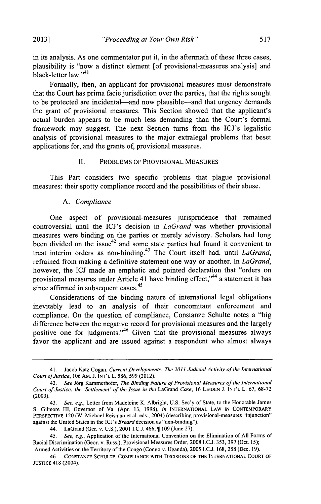*"Proceeding at Your Own Risk"* **2013] 517**

in its analysis. As one commentator put it, in the aftermath of these three cases, plausibility is "now a distinct element [of provisional-measures analysis] and black-letter law."<sup>41</sup>

Formally, then, an applicant for provisional measures must demonstrate that the Court has prima facie jurisdiction over the parties, that the rights sought to be protected are incidental—and now plausible—and that urgency demands the grant of provisional measures. This Section showed that the applicant's actual burden appears to be much less demanding than the Court's formal framework may suggest. The next Section turns from the ICJ's legalistic analysis of provisional measures to the major extralegal problems that beset applications for, and the grants of, provisional measures.

#### **II.** PROBLEMS OF PROVISIONAL **MEASURES**

This Part considers two specific problems that plague provisional measures: their spotty compliance record and the possibilities of their abuse.

#### *A. Compliance*

One aspect of provisional-measures jurisprudence that remained controversial until the ICJ's decision in *LaGrand* was whether provisional measures were binding on the parties or merely advisory. Scholars had long been divided on the issue<sup>42</sup> and some state parties had found it convenient to treat interim orders as non-binding.<sup>43</sup> The Court itself had, until *LaGrand*, refrained from making a definitive statement one way or another. In *LaGrand,* however, the **ICJ** made an emphatic and pointed declaration that "orders on provisional measures under Article 41 have binding effect,"44 a statement it has since affirmed in subsequent cases.<sup>45</sup>

Considerations of the binding nature of international legal obligations inevitably lead to an analysis of their concomitant enforcement and compliance. On the question of compliance, Constanze Schulte notes a "big difference between the negative record for provisional measures and the largely positive one for judgments."<sup>46</sup> Given that the provisional measures always favor the applicant and are issued against a respondent who almost always

<sup>41.</sup> Jacob Katz Cogan, *Current Developments: The 2011 Judicial Activity of the International Court ofJustice,* **106** AM. **J.** INT'L L. **586, 599** (2012).

*<sup>42.</sup> See* Jorg Kammerhofer, *The Binding Nature of Provisional Measures of the International Court of Justice: the 'Settlement' of the Issue in the LaGrand Case,* **16 LEIDEN J. INT'L** L. **67, 68-72 (2003).**

<sup>43.</sup> *See, e.g.,* Letter from Madeleine K. Albright, **U.S.** Sec'y of State, to the Honorable James **S.** Gilmore **II,** Governor of Va. (Apr. **13, 1998),** *in* **INTERNATIONAL LAW IN CONTEMPORARY PERSPECTIVE** 120 (W. Michael Reisman et al. eds., 2004) (describing provisional-measures "injunction" against the United States in the ICJ's *Breard* decision as "non-binding").

<sup>44.</sup> LaGrand (Ger. v. **U.S.),** 2001 **I.C.J.** 466, 1 **109** (June **27).**

<sup>45.</sup> *See, e.g.,* Application of the International Convention on the Elimination of **All** Forms of Racial Discrimination (Geor. v. Russ.), Provisional Measures Order, **2008 I.C.J. 353, 397** (Oct. **15);** Armed Activities on the Territory of the Congo (Congo v. Uganda), **2005 I.C.J. 168, 258** (Dec. **19).**

<sup>46.</sup> **CONSTANZE SCHULTE, COMPLIANCE WITH DECISIONS** OF THE **INTERNATIONAL COURT** OF **JUSTICE** 418 (2004).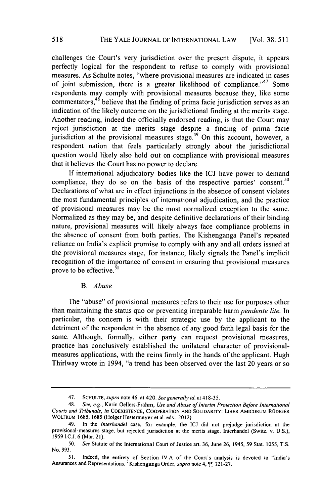challenges the Court's very jurisdiction over the present dispute, it appears perfectly logical for the respondent to refuse to comply with provisional measures. As Schulte notes, "where provisional measures are indicated in cases of joint submission, there is a greater likelihood of compliance."<sup>47</sup> Some respondents may comply with provisional measures because they, like some commentators,<sup>48</sup> believe that the finding of prima facie jurisdiction serves as an indication of the likely outcome on the jurisdictional finding at the merits stage. Another reading, indeed the officially endorsed reading, is that the Court may reject jurisdiction at the merits stage despite a finding of prima facie jurisdiction at the provisional measures stage.<sup>49</sup> On this account, however, a respondent nation that feels particularly strongly about the jurisdictional question would likely also hold out on compliance with provisional measures that it believes the Court has no power to declare.

**If** international adjudicatory bodies like the ICJ have power to demand compliance, they do so on the basis of the respective parties' consent.<sup>50</sup> Declarations of what are in effect injunctions in the absence of consent violates the most fundamental principles of international adjudication, and the practice of provisional measures may be the most normalized exception to the same. Normalized as they may be, and despite definitive declarations of their binding nature, provisional measures will likely always face compliance problems in the absence of consent from both parties. The Kishenganga Panel's repeated reliance on India's explicit promise to comply with any and all orders issued at the provisional measures stage, for instance, likely signals the Panel's implicit recognition of the importance of consent in ensuring that provisional measures prove to be effective.<sup>51</sup>

#### *B. Abuse*

The "abuse" of provisional measures refers to their use for purposes other than maintaining the status quo or preventing irreparable harm *pendente lite.* In particular, the concern is with their strategic use **by** the applicant to the detriment of the respondent in the absence of any good faith legal basis for the same. Although, formally, either party can request provisional measures, practice has conclusively established the unilateral character of provisionalmeasures applications, with the reins firmly in the hands of the applicant. Hugh Thirlway wrote in 1994, "a trend has been observed over the last 20 years or so

<sup>47.</sup> **SCHULTE,** *supra* note 46, at 420. *See generally* id. at **418-35.**

<sup>48.</sup> *See, e.g.,* Karin Oellers-Frahm, *Use and Abuse of Interim Protection Before International Courts and Tribunals, in* **COEXISTENCE, COOPERATION AND SOLIDARITY: LIBER AMICORUM RODIGER WOLFRUM 1685, 1685** (Holger Hestermeyer et al. eds., 2012).

<sup>49.</sup> In the *Interhandel* case, for example, the **ICJ** did not prejudge jurisdiction at the provisional-measures stage, but rejected jurisdiction at the merits stage. Interhandel (Switz. v. **U.S.),** *1959* **I.C.J. 6** (Mar. **21).**

**<sup>50.</sup>** *See* Statute of the International Court of Justice art. **36,** June **26,** *1945, 59 Stat. 1055,* **T.S.** No. **993.**

**<sup>51.</sup>** Indeed, the entirety of Section **IV.A** of the Court's analysis is devoted to "India's Assurances and Representations." Kishenganga Order, *supra* note 4, <sup>[4]</sup> 121-27.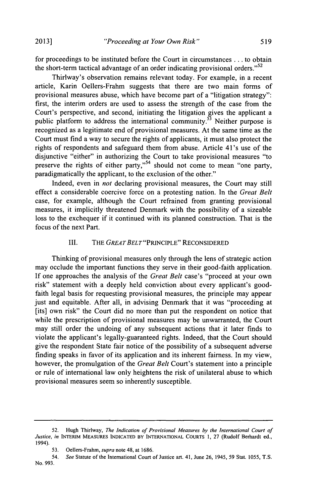for proceedings to be instituted before the Court in circumstances **. ..** to obtain the short-term tactical advantage of an order indicating provisional orders."<sup>52</sup>

Thirlway's observation remains relevant today. For example, in a recent article, Karin Oellers-Frahm suggests that there are two main forms of provisional measures abuse, which have become part of a "litigation strategy": first, the interim orders are used to assess the strength of the case from the Court's perspective, and second, initiating the litigation gives the applicant a public platform to address the international community. $53$  Neither purpose is recognized as a legitimate end of provisional measures. At the same time as the Court must find a way to secure the rights of applicants, it must also protect the rights of respondents and safeguard them from abuse. Article 41's use of the disjunctive "either" in authorizing the Court to take provisional measures "to preserve the rights of either party,"<sup>54</sup> should not come to mean "one party, paradigmatically the applicant, to the exclusion of the other."

Indeed, even in *not* declaring provisional measures, the Court may still effect a considerable coercive force on a protesting nation. In the *Great Belt* case, for example, although the Court refrained from granting provisional measures, it implicitly threatened Denmark with the possibility of a sizeable loss to the exchequer if it continued with its planned construction. That is the focus of the next Part.

#### III. THE *GREATBELT"PRINCIPLE"* RECONSIDERED

Thinking of provisional measures only through the lens of strategic action may occlude the important functions they serve in their good-faith application. If one approaches the analysis of the *Great Belt* case's "proceed at your own risk" statement with a deeply held conviction about every applicant's goodfaith legal basis for requesting provisional measures, the principle may appear just and equitable. After all, in advising Denmark that it was "proceeding at [its] own risk" the Court did no more than put the respondent on notice that while the prescription of provisional measures may be unwarranted, the Court may still order the undoing of any subsequent actions that it later finds to violate the applicant's legally-guaranteed rights. Indeed, that the Court should give the respondent State fair notice of the possibility of a subsequent adverse finding speaks in favor of its application and its inherent fairness. In my view, however, the promulgation of the *Great Belt* Court's statement into a principle or rule of international law only heightens the risk of unilateral abuse to which provisional measures seem so inherently susceptible.

*<sup>52.</sup>* Hugh Thirlway, *The Indication of Provisional Measures by the International Court of Justice, in* **INTERIM MEASURES INDICATED BY INTERNATIONAL COURTS 1, 27** (Rudolf Berhardt ed., 1994).

**<sup>53.</sup>** Oellers-Frahm, *supra* note 48, at **1686.**

<sup>54.</sup> *See* Statute of the International Court of Justice art. 41, June **26,** 1945, **59** Stat. **1055, T.S.** No. **993.**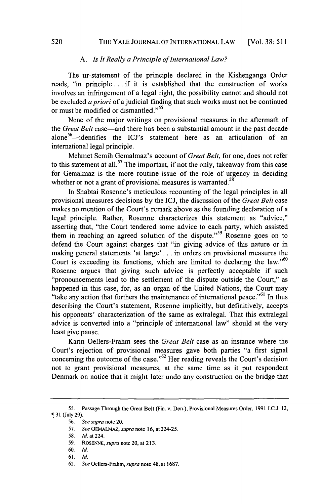#### A. *Is It Really a Principle of International Law?*

The ur-statement of the principle declared in the Kishenganga Order reads, "in principle **...** if it is established that the construction of works involves an infringement of a legal right, the possibility cannot and should not be excluded *a priori* of a judicial finding that such works must not be continued or must be modified or dismantled."<sup>55</sup>

None of the major writings on provisional measures in the aftermath of the *Great Belt* case—and there has been a substantial amount in the past decade alone<sup>56</sup> $-$ identifies the ICJ's statement here as an articulation of an international legal principle.

Mehmet Semih Gemalmaz's account of *Great Belt,* for one, does not refer to this statement at all.<sup>57</sup> The important, if not the only, takeaway from this case for Gemalmaz is the more routine issue of the role of urgency in deciding whether or not a grant of provisional measures is warranted.<sup>58</sup>

In Shabtai Rosenne's meticulous recounting of the legal principles in all provisional measures decisions **by** the **ICJ,** the discussion of the *Great Belt* case makes no mention of the Court's remark above as the founding declaration of a legal principle. Rather, Rosenne characterizes this statement as "advice," asserting that, "the Court tendered some advice to each party, which assisted them in reaching an agreed solution of the dispute."<sup>59</sup> Rosenne goes on to defend the Court against charges that "in giving advice of this nature or in making general statements 'at large' **. . .** in orders on provisional measures the Court is exceeding its functions, which are limited to declaring the law." $60$ Rosenne argues that giving such advice is perfectly acceptable if such "pronouncements lead to the settlement of the dispute outside the Court," as happened in this case, for, as an organ of the United Nations, the Court may "take any action that furthers the maintenance of international peace."<sup>61</sup> In thus describing the Court's statement, Rosenne implicitly, but definitively, accepts his opponents' characterization of the same as extralegal. That this extralegal advice is converted into a "principle of international law" should at the very least give pause.

Karin Oellers-Frahm sees the *Great Belt* case as an instance where the Court's rejection of provisional measures gave both parties "a first signal concerning the outcome of the case."62 Her reading reveals the Court's decision not to grant provisional measures, at the same time as it put respondent Denmark on notice that it might later undo any construction on the bridge that

**<sup>55.</sup> Passage Through the Great Belt (Fin. v. Den.), Provisional Measures Order, 1991 I.C.J. 12,** T **31 (July 29).**

*<sup>56.</sup> See supra* **note 20.**

**<sup>57.</sup>** *See GEMALMAZ, supra note* **16, at** *224-25.*

*<sup>58.</sup> Id. at 224.*

**<sup>59.</sup> ROSENNE,** *supra* **note 20, at 213.**

**<sup>60.</sup>** *Id.*

**<sup>61.</sup>** *Id.*

**<sup>62.</sup>** *See Oellers-Frahm, supra* **note 48, at 1687.**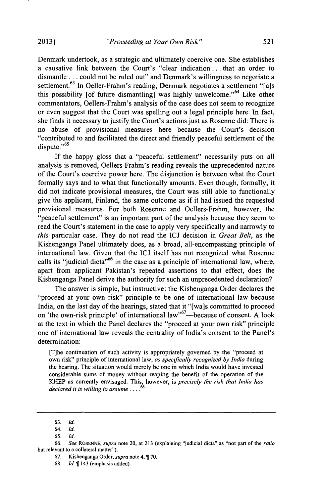Denmark undertook, as a strategic and ultimately coercive one. She establishes a causative link between the Court's "clear indication **. . .** that an order to dismantle **...** could not be ruled out" and Denmark's willingness to negotiate a settlement.<sup>63</sup> In Oeller-Frahm's reading, Denmark negotiates a settlement "[a]s this possibility [of future dismantling] was highly unwelcome."<sup>64</sup> Like other commentators, Oellers-Frahm's analysis of the case does not seem to recognize or even suggest that the Court was spelling out a legal principle here. In fact, she finds it necessary to justify the Court's actions just as Rosenne did: There is no abuse of provisional measures here because the Court's decision "contributed to and facilitated the direct and friendly peaceful settlement of the dispute."<sup>65</sup>

If the happy gloss that a "peaceful settlement" necessarily puts on all analysis is removed, Oellers-Frahm's reading reveals the unprecedented nature of the Court's coercive power here. The disjunction is between what the Court formally says and to what that functionally amounts. Even though, formally, it did not indicate provisional measures, the Court was still able to functionally give the applicant, Finland, the same outcome as if it had issued the requested provisional measures. For both Rosenne and Oellers-Frahm, however, the "peaceful settlement" is an important part of the analysis because they seem to read the Court's statement in the case to apply very specifically and narrowly to *this* particular case. They do not read the **ICJ** decision in *Great Belt,* as the Kishenganga Panel ultimately does, as a broad, all-encompassing principle of international law. Given that the **ICJ** itself has not recognized what Rosenne calls its "judicial dicta"  $66$  in the case as a principle of international law, where, apart from applicant Pakistan's repeated assertions to that effect, does the Kishenganga Panel derive the authority for such an unprecedented declaration?

The answer is simple, but instructive: the Kishenganga Order declares the "proceed at your own risk" principle to be one of international law because India, on the last day of the hearings, stated that it "[wa]s committed to proceed on 'the own-risk principle' of international law"<sup>67</sup>—because of consent. A look at the text in which the Panel declares the "proceed at your own risk" principle one of international law reveals the centrality of India's consent to the Panel's determination:

[T]he continuation of such activity is appropriately governed **by** the "proceed at own risk" principle of international law, *as specifically recognized by India* during the hearing. The situation would merely be one in which India would have invested considerable sums of money without reaping the benefit of the operation of the KHEP as currently envisaged. This, however, is *precisely the risk that India has declared it is willing to assume .*

- **67.** Kishenganga Order, *supra* note 4, **70.**
- **68.** *Id. 1* 143 (emphasis added).

**<sup>63.</sup>** *Id.*

*<sup>64.</sup> Id.*

**<sup>65.</sup>** *Id.*

*<sup>66.</sup> See ROSENNE, supra* note 20, at **213** (explaining "judicial dicta" as "not part of the *ratio* but relevant to a collateral matter").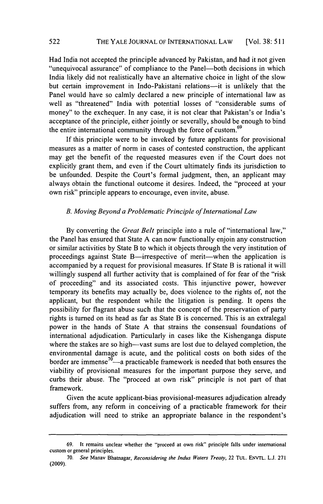Had India not accepted the principle advanced **by** Pakistan, and had it not given "unequivocal assurance" of compliance to the Panel—both decisions in which India likely did not realistically have an alternative choice in light of the slow but certain improvement in Indo-Pakistani relations--it is unlikely that the Panel would have so calmly declared a new principle of international law as well as "threatened" India with potential losses of "considerable sums of money" to the exchequer. In any case, it is not clear that Pakistan's or India's acceptance of the principle, either jointly or severally, should be enough to bind the entire international community through the force of custom. $69$ 

**If** this principle were to be invoked **by** future applicants for provisional measures as a matter of norm in cases of contested construction, the applicant may get the benefit of the requested measures even if the Court does not explicitly grant them, and even if the Court ultimately finds its jurisdiction to be unfounded. Despite the Court's formal judgment, then, an applicant may always obtain the functional outcome it desires. Indeed, the "proceed at your own risk" principle appears to encourage, even invite, abuse.

#### *B. Moving Beyond a Problematic Principle of International Law*

**By** converting the *Great Belt* principle into a rule of "international law," the Panel has ensured that State **A** can now functionally enjoin any construction or similar activities **by** State B to which it objects through the very institution of proceedings against State B—irrespective of merit—when the application is accompanied **by** a request for provisional measures. **If** State B is rational it will willingly suspend all further activity that is complained of for fear of the "risk of proceeding" and its associated costs. This injunctive power, however temporary its benefits may actually be, does violence to the rights of, not the applicant, but the respondent while the litigation is pending. It opens the possibility for flagrant abuse such that the concept of the preservation of party rights is turned on its head as far as State B is concerned. This is an extralegal power in the hands of State **A** that strains the consensual foundations of international adjudication. Particularly in cases like the Kishenganga dispute where the stakes are so high—vast sums are lost due to delayed completion, the environmental damage is acute, and the political costs on both sides of the border are immense<sup>70</sup>—a practicable framework is needed that both ensures the viability of provisional measures for the important purpose they serve, and curbs their abuse. The "proceed at own risk" principle is not part of that framework.

Given the acute applicant-bias provisional-measures adjudication already suffers from, any reform in conceiving of a practicable framework for their adjudication will need to strike an appropriate balance in the respondent's

**<sup>69.</sup>** It remains unclear whether the "proceed at own risk" principle falls under international custom or general principles.

*<sup>70.</sup> See* Manav Bhatnagar, *Reconsidering the Indus Waters Treaty,* 22 **TUL. ENVTL. L.J. 271 (2009).**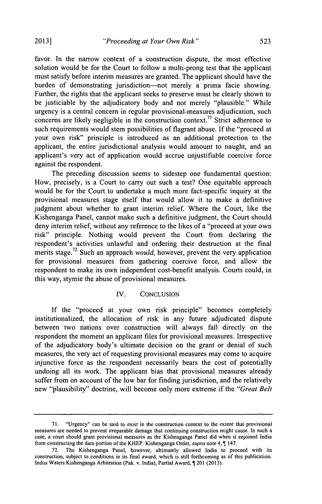favor. In the narrow context of a construction dispute, the most effective solution would be for the Court to follow a multi-prong test that the applicant must satisfy before interim measures are granted. The applicant should have the burden of demonstrating jurisdiction-not merely a prima facie showing. Further, the rights that the applicant seeks to preserve must be clearly shown to be justiciable **by** the adjudicatory body and not merely "plausible." While urgency is a central concern in regular provisional-measures adjudication, such concerns are likely negligible in the construction context.<sup>71</sup> Strict adherence to such requirements would stem possibilities of flagrant abuse. **If** the "proceed at your own risk" principle is introduced as an additional protection to the applicant, the entire jurisdictional analysis would amount to naught, and an applicant's very act of application would accrue unjustifiable coercive force against the respondent.

The preceding discussion seems to sidestep one fundamental question: How, precisely, is a Court to carry out such a test? One equitable approach would be for the Court to undertake a much more fact-specific inquiry at the provisional measures stage itself that would allow it to make a definitive judgment about whether to grant interim relief. Where the Court, like the Kishenganga Panel, cannot make such a definitive judgment, the Court should deny interim relief, without any reference to the likes of a "proceed at your own risk" principle. Nothing would prevent the Court from declaring the respondent's activities unlawful and ordering their destruction at the final merits stage.72 Such an approach *would,* however, prevent the very application for provisional measures from gathering coercive force, and allow the respondent to make its own independent cost-benefit analysis. Courts could, in this way, stymie the abuse of provisional measures.

#### IV. **CONCLUSION**

**If** the "proceed at your own risk principle" becomes completely institutionalized, the allocation of risk in any future adjudicated dispute between two nations over construction will always fall directly on the respondent the moment an applicant files for provisional measures. Irrespective of the adjudicatory body's ultimate decision on the grant or denial of such measures, the very act of requesting provisional measures may come to acquire injunctive force as the respondent necessarily bears the cost of potentially undoing all its work. The applicant bias that provisional measures already suffer from on account of the low bar for finding jurisdiction, and the relatively new "plausibility" doctrine, will become only more extreme if the *"Great Belt*

**<sup>71.</sup>** "Urgency" can be said to exist in the construction context to the extent that provisional measures are needed to prevent irreparable damage that continuing construction might cause. In such a case, a court should grant provisional measures as the Kishenganga Panel did when it enjoined India from constructing the dam portion of the KHEP. Kishenganga Order, *supra* note 4, T 147.

**<sup>72.</sup>** The Kishenganga Panel, however, ultimately allowed India to proceed with its construction, subject to conditions in its final award, which is still forthcoming as of this publication. Indus Waters Kishenganga Arbitration (Pak. v. India), Partial Award, 1201 (2013).